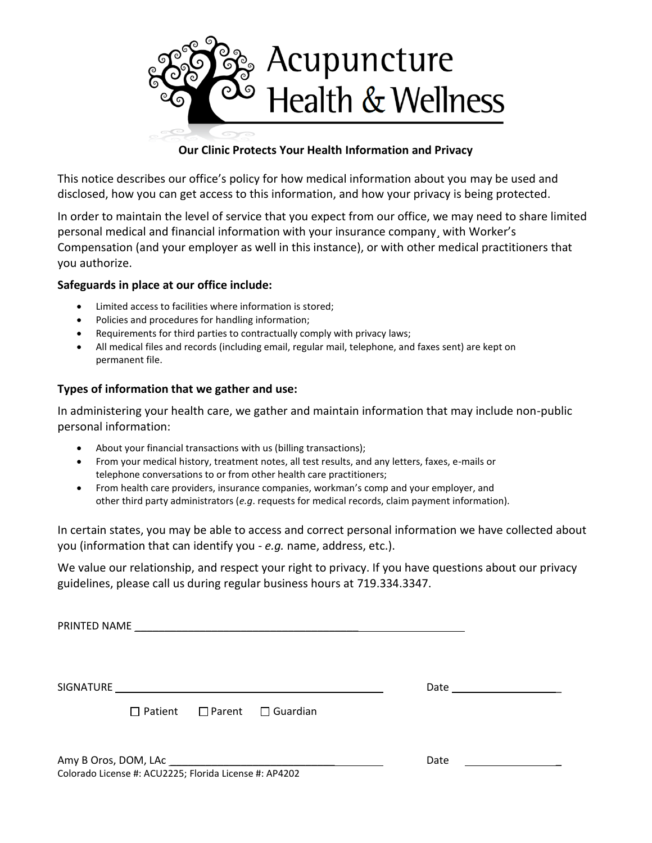

## **Our Clinic Protects Your Health Information and Privacy**

This notice describes our office's policy for how medical information about you may be used and disclosed, how you can get access to this information, and how your privacy is being protected.

In order to maintain the level of service that you expect from our office, we may need to share limited personal medical and financial information with your insurance company¸ with Worker's Compensation (and your employer as well in this instance), or with other medical practitioners that you authorize.

## **Safeguards in place at our office include:**

- Limited access to facilities where information is stored;
- Policies and procedures for handling information;
- Requirements for third parties to contractually comply with privacy laws;
- All medical files and records (including email, regular mail, telephone, and faxes sent) are kept on permanent file.

## **Types of information that we gather and use:**

In administering your health care, we gather and maintain information that may include non-public personal information:

- About your financial transactions with us (billing transactions);
- From your medical history, treatment notes, all test results, and any letters, faxes, e-mails or telephone conversations to or from other health care practitioners;
- From health care providers, insurance companies, workman's comp and your employer, and other third party administrators (*e.g*. requests for medical records, claim payment information).

In certain states, you may be able to access and correct personal information we have collected about you (information that can identify you - *e.g.* name, address, etc.).

We value our relationship, and respect your right to privacy. If you have questions about our privacy guidelines, please call us during regular business hours at 719.334.3347.

|                                                        |                                              |  | Date <u>_____________</u> |
|--------------------------------------------------------|----------------------------------------------|--|---------------------------|
|                                                        | $\Box$ Patient $\Box$ Parent $\Box$ Guardian |  |                           |
| Colorado License #: ACU2225; Florida License #: AP4202 | Date                                         |  |                           |